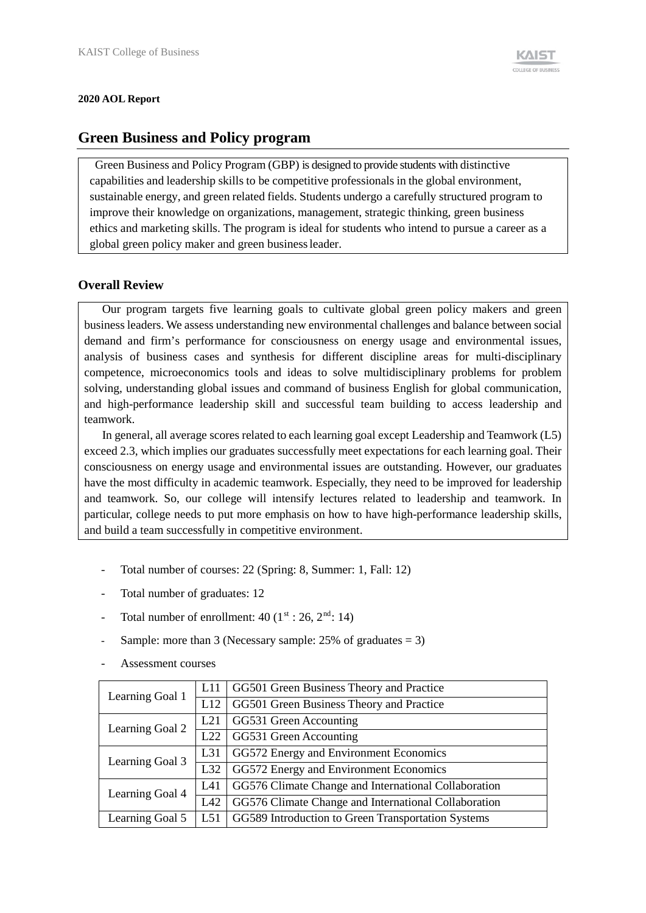#### **2020 AOL Report**

### **Green Business and Policy program**

Green Business and Policy Program (GBP) is designed to provide students with distinctive capabilities and leadership skills to be competitive professionals in the global environment, sustainable energy, and green related fields. Students undergo a carefully structured program to improve their knowledge on organizations, management, strategic thinking, green business ethics and marketing skills. The program is ideal for students who intend to pursue a career as a global green policy maker and green businessleader.

#### **Overall Review**

Our program targets five learning goals to cultivate global green policy makers and green business leaders. We assess understanding new environmental challenges and balance between social demand and firm's performance for consciousness on energy usage and environmental issues, analysis of business cases and synthesis for different discipline areas for multi-disciplinary competence, microeconomics tools and ideas to solve multidisciplinary problems for problem solving, understanding global issues and command of business English for global communication, and high-performance leadership skill and successful team building to access leadership and teamwork.

In general, all average scores related to each learning goal except Leadership and Teamwork (L5) exceed 2.3, which implies our graduates successfully meet expectations for each learning goal. Their consciousness on energy usage and environmental issues are outstanding. However, our graduates have the most difficulty in academic teamwork. Especially, they need to be improved for leadership and teamwork. So, our college will intensify lectures related to leadership and teamwork. In particular, college needs to put more emphasis on how to have high-performance leadership skills, and build a team successfully in competitive environment.

- Total number of courses: 22 (Spring: 8, Summer: 1, Fall: 12)
- Total number of graduates: 12
- Total number of enrollment:  $40$  ( $1<sup>st</sup>$ : 26,  $2<sup>nd</sup>$ : 14)
- Sample: more than 3 (Necessary sample:  $25\%$  of graduates = 3)

| Learning Goal 1 | L11 | GG501 Green Business Theory and Practice             |
|-----------------|-----|------------------------------------------------------|
|                 | L12 | GG501 Green Business Theory and Practice             |
| Learning Goal 2 | L21 | GG531 Green Accounting                               |
|                 | L22 | GG531 Green Accounting                               |
| Learning Goal 3 | L31 | GG572 Energy and Environment Economics               |
|                 | L32 | GG572 Energy and Environment Economics               |
| Learning Goal 4 | L41 | GG576 Climate Change and International Collaboration |
|                 | L42 | GG576 Climate Change and International Collaboration |
| Learning Goal 5 | L51 | GG589 Introduction to Green Transportation Systems   |

- Assessment courses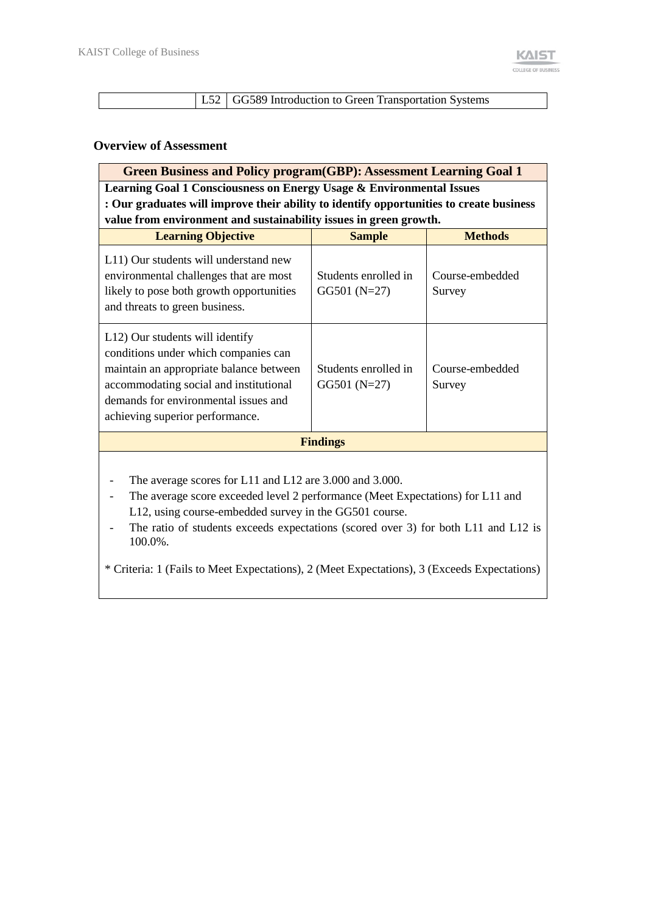L52 GG589 Introduction to Green Transportation Systems

#### **Overview of Assessment**

| <b>Green Business and Policy program (GBP): Assessment Learning Goal 1</b>                                                                                                                                                              |                                        |                           |  |  |  |  |  |
|-----------------------------------------------------------------------------------------------------------------------------------------------------------------------------------------------------------------------------------------|----------------------------------------|---------------------------|--|--|--|--|--|
| <b>Learning Goal 1 Consciousness on Energy Usage &amp; Environmental Issues</b>                                                                                                                                                         |                                        |                           |  |  |  |  |  |
| : Our graduates will improve their ability to identify opportunities to create business                                                                                                                                                 |                                        |                           |  |  |  |  |  |
| value from environment and sustainability issues in green growth.                                                                                                                                                                       |                                        |                           |  |  |  |  |  |
| <b>Learning Objective</b>                                                                                                                                                                                                               | <b>Sample</b>                          | <b>Methods</b>            |  |  |  |  |  |
| L11) Our students will understand new<br>environmental challenges that are most<br>likely to pose both growth opportunities<br>and threats to green business.                                                                           | Students enrolled in<br>$GG501 (N=27)$ | Course-embedded<br>Survey |  |  |  |  |  |
| L12) Our students will identify<br>conditions under which companies can<br>maintain an appropriate balance between<br>accommodating social and institutional<br>demands for environmental issues and<br>achieving superior performance. | Students enrolled in<br>$GG501 (N=27)$ | Course-embedded<br>Survey |  |  |  |  |  |
|                                                                                                                                                                                                                                         | <b>Findings</b>                        |                           |  |  |  |  |  |
|                                                                                                                                                                                                                                         |                                        |                           |  |  |  |  |  |

The average scores for L11 and L12 are 3.000 and 3.000.

The average score exceeded level 2 performance (Meet Expectations) for L11 and L12, using course-embedded survey in the GG501 course.

- The ratio of students exceeds expectations (scored over 3) for both L11 and L12 is 100.0%.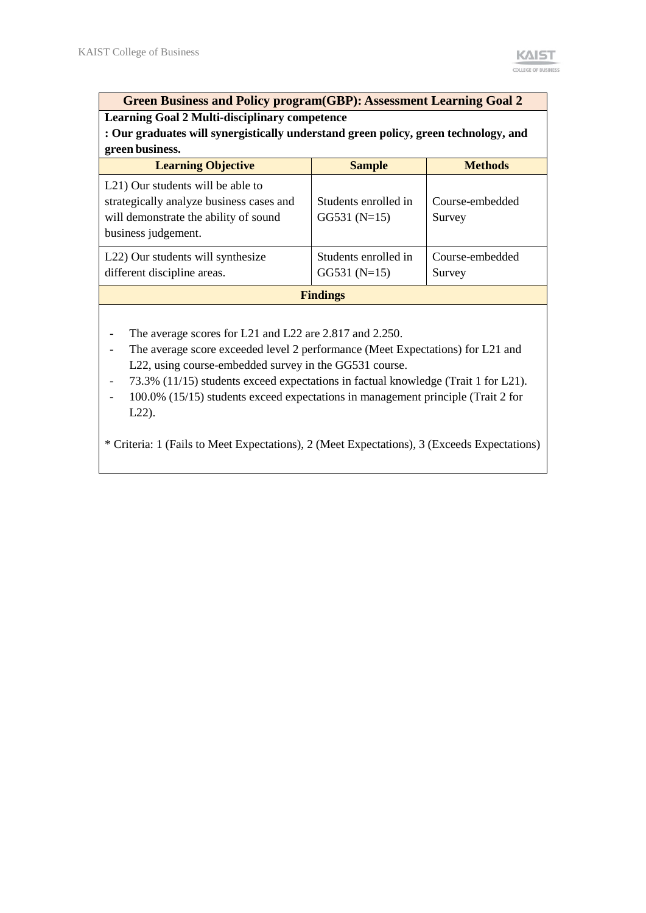**Green Business and Policy program(GBP): Assessment Learning Goal 2**

**Learning Goal 2 Multi-disciplinary competence**

**: Our graduates will synergistically understand green policy, green technology, and green business.**

| <b>Learning Objective</b>                                                                                                                                  | <b>Sample</b>                          | <b>Methods</b>            |  |  |  |  |  |
|------------------------------------------------------------------------------------------------------------------------------------------------------------|----------------------------------------|---------------------------|--|--|--|--|--|
| L <sub>21</sub> ) Our students will be able to<br>strategically analyze business cases and<br>will demonstrate the ability of sound<br>business judgement. | Students enrolled in<br>$GG531(N=15)$  | Course-embedded<br>Survey |  |  |  |  |  |
| L22) Our students will synthesize<br>different discipline areas.                                                                                           | Students enrolled in<br>$GG531 (N=15)$ | Course-embedded<br>Survey |  |  |  |  |  |
| <b>Findings</b>                                                                                                                                            |                                        |                           |  |  |  |  |  |

- The average scores for L21 and L22 are 2.817 and 2.250.
- The average score exceeded level 2 performance (Meet Expectations) for L21 and L22, using course-embedded survey in the GG531 course.
- 73.3% (11/15) students exceed expectations in factual knowledge (Trait 1 for L21).
- 100.0% (15/15) students exceed expectations in management principle (Trait 2 for L22).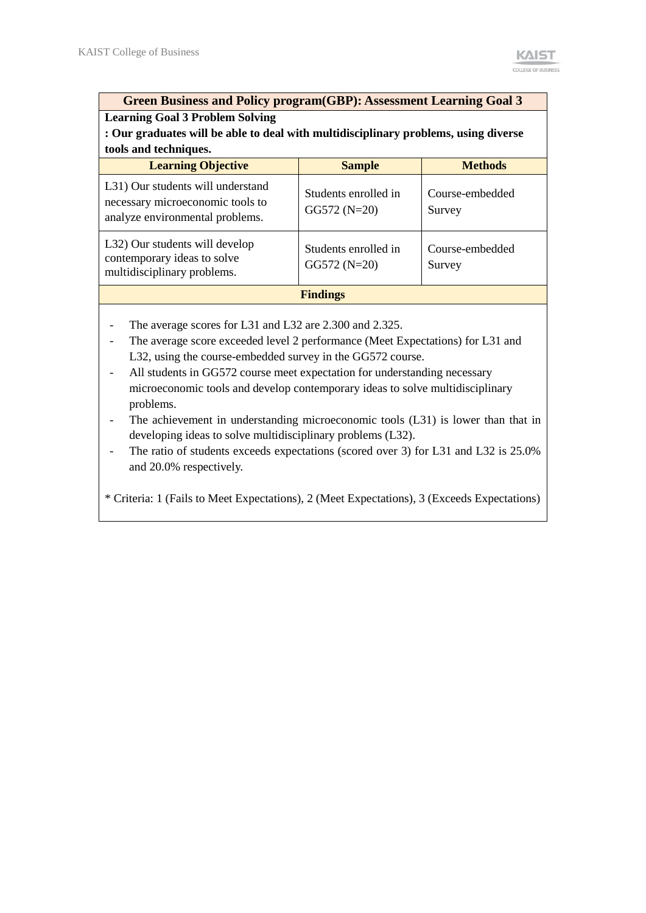| <b>Green Business and Policy program(GBP): Assessment Learning Goal 3</b>                                |                                       |                           |  |  |  |  |  |
|----------------------------------------------------------------------------------------------------------|---------------------------------------|---------------------------|--|--|--|--|--|
| <b>Learning Goal 3 Problem Solving</b>                                                                   |                                       |                           |  |  |  |  |  |
| : Our graduates will be able to deal with multidisciplinary problems, using diverse                      |                                       |                           |  |  |  |  |  |
| tools and techniques.                                                                                    |                                       |                           |  |  |  |  |  |
| <b>Learning Objective</b>                                                                                | <b>Sample</b>                         | <b>Methods</b>            |  |  |  |  |  |
| L31) Our students will understand<br>necessary microeconomic tools to<br>analyze environmental problems. | Students enrolled in<br>$GG572(N=20)$ | Course-embedded<br>Survey |  |  |  |  |  |
| L32) Our students will develop<br>contemporary ideas to solve<br>multidisciplinary problems.             | Students enrolled in<br>$GG572(N=20)$ | Course-embedded<br>Survey |  |  |  |  |  |
|                                                                                                          | <b>Findings</b>                       |                           |  |  |  |  |  |

- The average scores for L31 and L32 are 2.300 and 2.325.
- The average score exceeded level 2 performance (Meet Expectations) for L31 and L32, using the course-embedded survey in the GG572 course.
- All students in GG572 course meet expectation for understanding necessary microeconomic tools and develop contemporary ideas to solve multidisciplinary problems.
- The achievement in understanding microeconomic tools (L31) is lower than that in developing ideas to solve multidisciplinary problems (L32).
- The ratio of students exceeds expectations (scored over 3) for L31 and L32 is 25.0% and 20.0% respectively.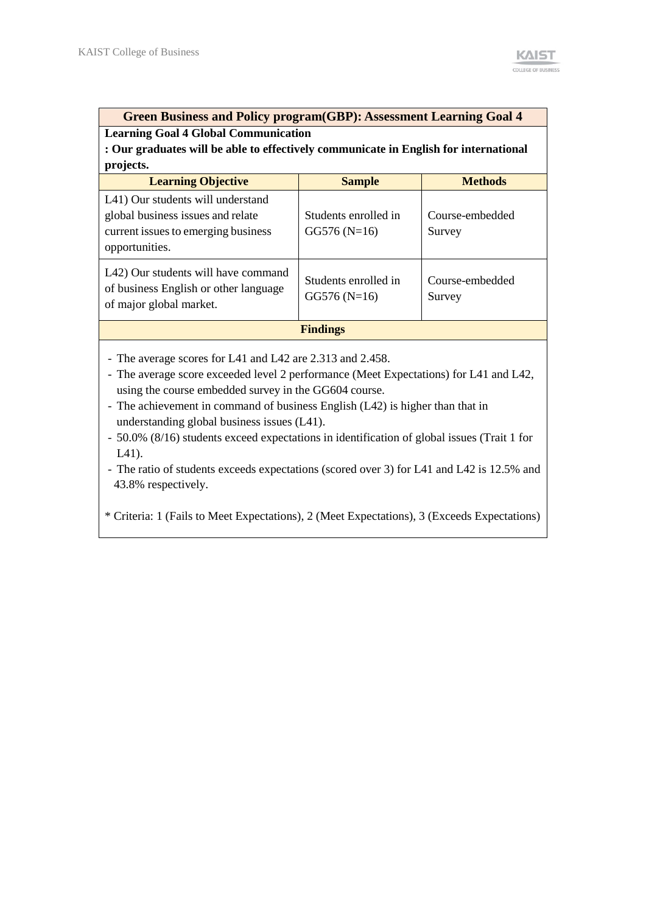#### **Green Business and Policy program(GBP): Assessment Learning Goal 4 Learning Goal 4 Global Communication**

**: Our graduates will be able to effectively communicate in English for international projects.**

| <b>Learning Objective</b>                                                                                                       | <b>Sample</b>                         | <b>Methods</b>            |  |  |  |  |  |  |
|---------------------------------------------------------------------------------------------------------------------------------|---------------------------------------|---------------------------|--|--|--|--|--|--|
| L41) Our students will understand<br>global business issues and relate<br>current issues to emerging business<br>opportunities. | Students enrolled in<br>$GG576(N=16)$ | Course-embedded<br>Survey |  |  |  |  |  |  |
| L42) Our students will have command<br>of business English or other language<br>of major global market.                         | Students enrolled in<br>$GG576(N=16)$ | Course-embedded<br>Survey |  |  |  |  |  |  |
|                                                                                                                                 | <b>Findings</b>                       |                           |  |  |  |  |  |  |

- The average scores for L41 and L42 are 2.313 and 2.458.

- The average score exceeded level 2 performance (Meet Expectations) for L41 and L42, using the course embedded survey in the GG604 course.
- The achievement in command of business English (L42) is higher than that in understanding global business issues (L41).

- 50.0% (8/16) students exceed expectations in identification of global issues (Trait 1 for L41).

- The ratio of students exceeds expectations (scored over 3) for L41 and L42 is 12.5% and 43.8% respectively.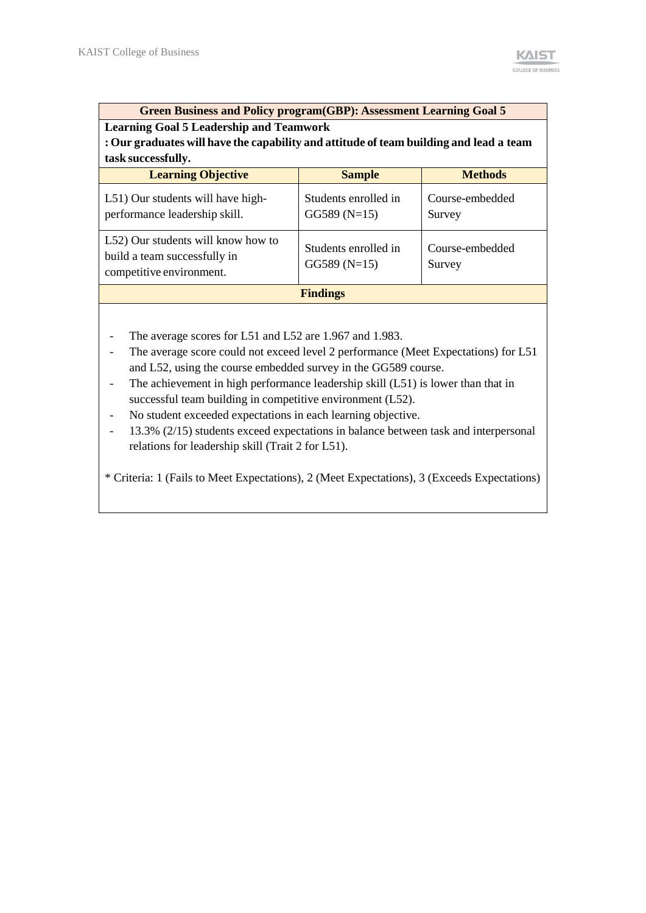# **Green Business and Policy program(GBP): Assessment Learning Goal 5**

**Learning Goal 5 Leadership and Teamwork**

**: Our graduates will have the capability and attitude of team building and lead a team task successfully.**

| <b>Learning Objective</b>                                                                      | <b>Sample</b>                         | <b>Methods</b>            |
|------------------------------------------------------------------------------------------------|---------------------------------------|---------------------------|
| L51) Our students will have high-<br>performance leadership skill.                             | Students enrolled in<br>$GG589(N=15)$ | Course-embedded<br>Survey |
| L52) Our students will know how to<br>build a team successfully in<br>competitive environment. | Students enrolled in<br>$GG589(N=15)$ | Course-embedded<br>Survey |
|                                                                                                | <b>Findings</b>                       |                           |

- The average scores for L51 and L52 are 1.967 and 1.983.
- The average score could not exceed level 2 performance (Meet Expectations) for L51 and L52, using the course embedded survey in the GG589 course.
- The achievement in high performance leadership skill  $(L51)$  is lower than that in successful team building in competitive environment (L52).
- No student exceeded expectations in each learning objective.
- 13.3% (2/15) students exceed expectations in balance between task and interpersonal relations for leadership skill (Trait 2 for L51).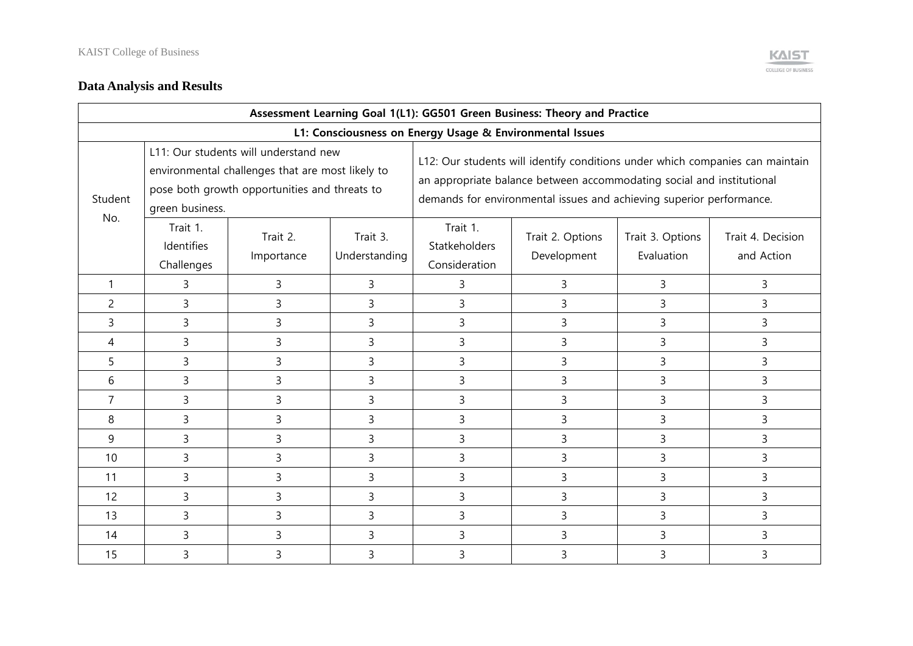

## **Data Analysis and Results**

|                | Assessment Learning Goal 1(L1): GG501 Green Business: Theory and Practice |                                                                                                                                            |                           |                                                                                                                                                                                                                                |                                 |                                |                                 |  |  |  |  |
|----------------|---------------------------------------------------------------------------|--------------------------------------------------------------------------------------------------------------------------------------------|---------------------------|--------------------------------------------------------------------------------------------------------------------------------------------------------------------------------------------------------------------------------|---------------------------------|--------------------------------|---------------------------------|--|--|--|--|
|                | L1: Consciousness on Energy Usage & Environmental Issues                  |                                                                                                                                            |                           |                                                                                                                                                                                                                                |                                 |                                |                                 |  |  |  |  |
| Student        | green business.                                                           | L11: Our students will understand new<br>environmental challenges that are most likely to<br>pose both growth opportunities and threats to |                           | L12: Our students will identify conditions under which companies can maintain<br>an appropriate balance between accommodating social and institutional<br>demands for environmental issues and achieving superior performance. |                                 |                                |                                 |  |  |  |  |
| No.            | Trait 1.<br>Identifies<br>Challenges                                      | Trait 2.<br>Importance                                                                                                                     | Trait 3.<br>Understanding | Trait 1.<br>Statkeholders<br>Consideration                                                                                                                                                                                     | Trait 2. Options<br>Development | Trait 3. Options<br>Evaluation | Trait 4. Decision<br>and Action |  |  |  |  |
| $\mathbf 1$    | 3                                                                         | 3                                                                                                                                          | 3                         | 3                                                                                                                                                                                                                              | 3                               | 3                              | 3                               |  |  |  |  |
| $\overline{c}$ | 3                                                                         | 3                                                                                                                                          | 3                         | 3                                                                                                                                                                                                                              | 3                               | 3                              | 3                               |  |  |  |  |
| 3              | 3                                                                         | 3                                                                                                                                          | 3                         | 3                                                                                                                                                                                                                              | 3                               | 3                              | 3                               |  |  |  |  |
| 4              | 3                                                                         | 3                                                                                                                                          | 3                         | 3                                                                                                                                                                                                                              | 3                               | 3                              | 3                               |  |  |  |  |
| 5              | 3                                                                         | 3                                                                                                                                          | 3                         | 3                                                                                                                                                                                                                              | 3                               | 3                              | 3                               |  |  |  |  |
| 6              | 3                                                                         | 3                                                                                                                                          | 3                         | 3                                                                                                                                                                                                                              | 3                               | 3                              | 3                               |  |  |  |  |
| $\overline{7}$ | 3                                                                         | 3                                                                                                                                          | 3                         | 3                                                                                                                                                                                                                              | 3                               | 3                              | 3                               |  |  |  |  |
| 8              | 3                                                                         | 3                                                                                                                                          | 3                         | 3                                                                                                                                                                                                                              | 3                               | 3                              | 3                               |  |  |  |  |
| 9              | 3                                                                         | 3                                                                                                                                          | 3                         | 3                                                                                                                                                                                                                              | 3                               | 3                              | 3                               |  |  |  |  |
| 10             | 3                                                                         | 3                                                                                                                                          | 3                         | 3                                                                                                                                                                                                                              | 3                               | 3                              | 3                               |  |  |  |  |
| 11             | 3                                                                         | 3                                                                                                                                          | 3                         | 3                                                                                                                                                                                                                              | 3                               | 3                              | 3                               |  |  |  |  |
| 12             | 3                                                                         | 3                                                                                                                                          | 3                         | 3                                                                                                                                                                                                                              | 3                               | 3                              | 3                               |  |  |  |  |
| 13             | 3                                                                         | 3                                                                                                                                          | 3                         | 3                                                                                                                                                                                                                              | 3                               | 3                              | 3                               |  |  |  |  |
| 14             | 3                                                                         | 3                                                                                                                                          | 3                         | 3                                                                                                                                                                                                                              | 3                               | 3                              | 3                               |  |  |  |  |
| 15             | 3                                                                         | 3                                                                                                                                          | 3                         | 3                                                                                                                                                                                                                              | 3                               | 3                              | 3                               |  |  |  |  |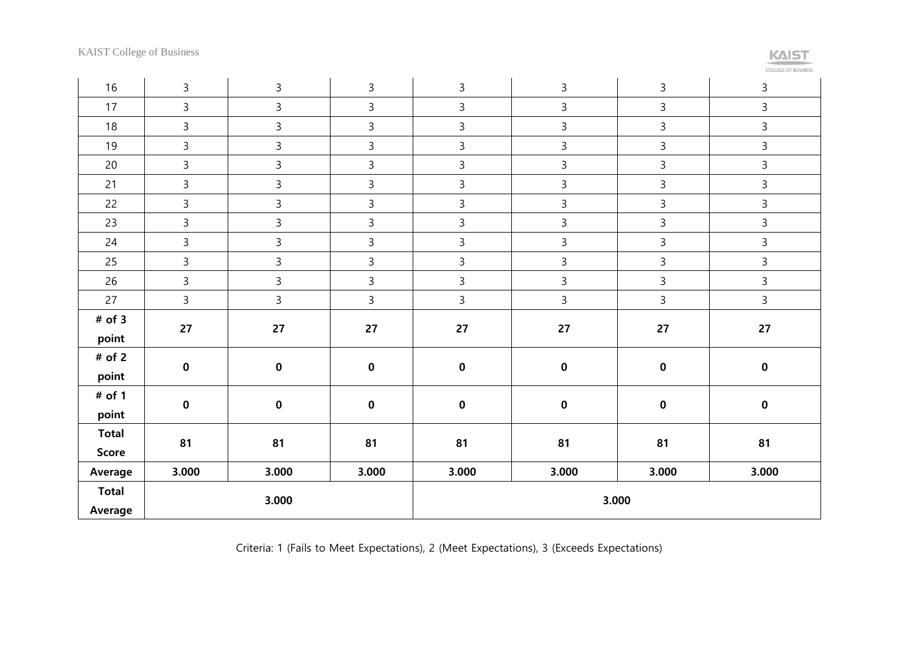KAIST College of Business

| ______ |  |
|--------|--|

| 16           | 3              | $\mathsf{3}$ | 3            | $\mathbf{3}$   | 3              | 3            | 3              |
|--------------|----------------|--------------|--------------|----------------|----------------|--------------|----------------|
| 17           | $\mathsf{3}$   | $\mathsf{3}$ | $\mathsf{3}$ | $\mathsf{3}$   | $\mathsf{3}$   | $\mathsf{3}$ | $\overline{3}$ |
| 18           | $\mathbf{3}$   | $\mathbf{3}$ | 3            | $\mathbf{3}$   | $\mathsf{3}$   | $\mathsf{3}$ | 3              |
| 19           | $\overline{3}$ | $\mathsf{3}$ | 3            | $\mathbf{3}$   | $\mathsf{3}$   | $\mathsf{3}$ | 3              |
| 20           | $\mathbf{3}$   | $\mathbf{3}$ | $\mathbf{3}$ | $\mathsf{3}$   | $\mathsf{3}$   | $\mathsf{3}$ | 3              |
| 21           | $\mathbf{3}$   | $\mathbf{3}$ | $\mathsf{3}$ | $\mathsf{3}$   | $\mathsf{3}$   | $\mathsf{3}$ | 3              |
| 22           | $\mathbf{3}$   | $\mathsf{3}$ | 3            | $\mathbf{3}$   | $\mathsf{3}$   | $\mathbf{3}$ | 3              |
| 23           | $\overline{3}$ | $\mathsf{3}$ | $\mathbf{3}$ | $\mathsf{3}$   | $\overline{3}$ | $\mathsf{3}$ | $\overline{3}$ |
| 24           | $\mathsf{3}$   | $\mathbf{3}$ | 3            | $\mathbf{3}$   | $\mathsf{3}$   | $\mathsf{3}$ | $\mathbf{3}$   |
| 25           | $\mathsf{3}$   | $\mathsf{3}$ | 3            | $\overline{3}$ | $\mathsf{3}$   | $\mathsf{3}$ | 3              |
| 26           | $\mathbf{3}$   | $\mathsf{3}$ | 3            | $\mathbf{3}$   | $\mathsf{3}$   | $\mathbf{3}$ | $\mathbf{3}$   |
| 27           | $\overline{3}$ | $\mathsf{3}$ | 3            | $\overline{3}$ | $\mathsf{3}$   | $\mathsf{3}$ | $\mathbf{3}$   |
| $#$ of 3     | 27             | 27           | 27           | 27             | 27             | 27           | 27             |
| point        |                |              |              |                |                |              |                |
| # of 2       | $\pmb{0}$      | $\pmb{0}$    | $\pmb{0}$    | $\pmb{0}$      | $\pmb{0}$      | $\mathbf 0$  | $\pmb{0}$      |
| point        |                |              |              |                |                |              |                |
| # of 1       | $\pmb{0}$      | $\pmb{0}$    | $\pmb{0}$    | $\pmb{0}$      | $\pmb{0}$      | $\pmb{0}$    | $\pmb{0}$      |
| point        |                |              |              |                |                |              |                |
| <b>Total</b> | 81             | 81           | 81           | 81             | 81             | 81           | 81             |
| Score        |                |              |              |                |                |              |                |
| Average      | 3.000          | 3.000        | 3.000        | 3.000          | 3.000          | 3.000        | 3.000          |
| <b>Total</b> |                | 3.000        |              |                |                |              |                |
| Average      |                |              |              | 3.000          |                |              |                |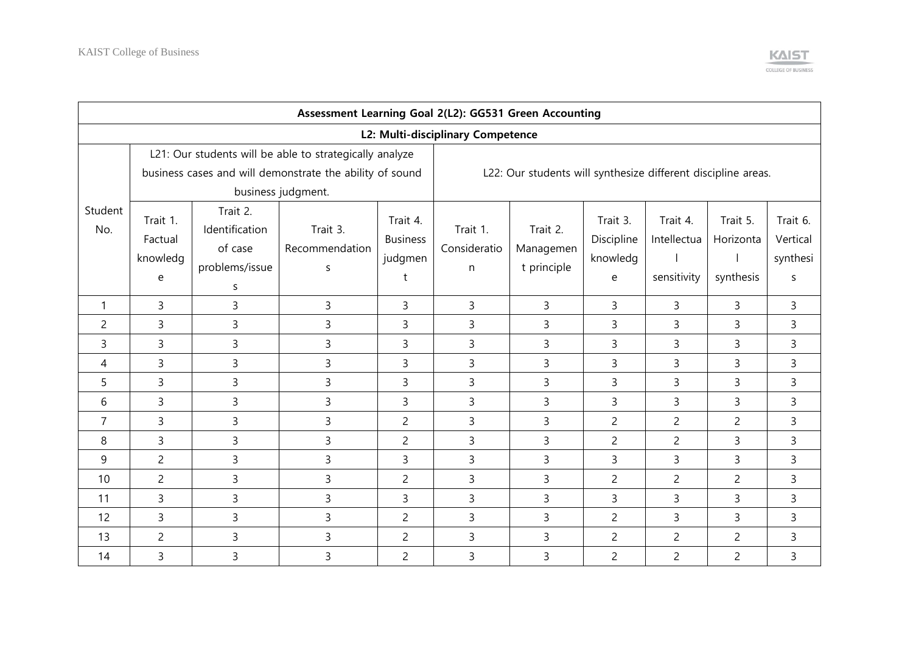

|                                   | Assessment Learning Goal 2(L2): GG531 Green Accounting |                                                              |                                                                                                                     |                                             |                                                               |                                      |                                         |                                        |                                    |                                       |  |  |
|-----------------------------------|--------------------------------------------------------|--------------------------------------------------------------|---------------------------------------------------------------------------------------------------------------------|---------------------------------------------|---------------------------------------------------------------|--------------------------------------|-----------------------------------------|----------------------------------------|------------------------------------|---------------------------------------|--|--|
| L2: Multi-disciplinary Competence |                                                        |                                                              |                                                                                                                     |                                             |                                                               |                                      |                                         |                                        |                                    |                                       |  |  |
|                                   |                                                        |                                                              | L21: Our students will be able to strategically analyze<br>business cases and will demonstrate the ability of sound |                                             | L22: Our students will synthesize different discipline areas. |                                      |                                         |                                        |                                    |                                       |  |  |
|                                   |                                                        |                                                              | business judgment.                                                                                                  |                                             |                                                               |                                      |                                         |                                        |                                    |                                       |  |  |
| Student<br>No.                    | Trait 1.<br>Factual<br>knowledg<br>e                   | Trait 2.<br>Identification<br>of case<br>problems/issue<br>S | Trait 3.<br>Recommendation<br>S                                                                                     | Trait 4.<br><b>Business</b><br>judgmen<br>t | Trait 1.<br>Consideratio<br>$\mathsf{n}$                      | Trait 2.<br>Managemen<br>t principle | Trait 3.<br>Discipline<br>knowledg<br>e | Trait 4.<br>Intellectua<br>sensitivity | Trait 5.<br>Horizonta<br>synthesis | Trait 6.<br>Vertical<br>synthesi<br>S |  |  |
| 1                                 | 3                                                      | 3                                                            | $\overline{3}$                                                                                                      | $\overline{3}$                              | $\overline{3}$                                                | $\overline{3}$                       | $\mathsf{3}$                            | $\mathsf{3}$                           | $\overline{3}$                     | $\mathsf{3}$                          |  |  |
| $\overline{c}$                    | 3                                                      | $\overline{3}$                                               | 3                                                                                                                   | 3                                           | $\overline{3}$                                                | $\overline{3}$                       | $\overline{3}$                          | 3                                      | $\overline{3}$                     | $\mathsf{3}$                          |  |  |
| 3                                 | 3                                                      | 3                                                            | 3                                                                                                                   | 3                                           | 3                                                             | 3                                    | $\overline{3}$                          | 3                                      | 3                                  | $\overline{3}$                        |  |  |
| 4                                 | 3                                                      | $\overline{3}$                                               | 3                                                                                                                   | 3                                           | $\overline{3}$                                                | 3                                    | $\overline{3}$                          | 3                                      | $\overline{3}$                     | $\overline{3}$                        |  |  |
| 5                                 | 3                                                      | $\overline{3}$                                               | $\overline{3}$                                                                                                      | 3                                           | $\overline{3}$                                                | 3                                    | $\overline{3}$                          | 3                                      | $\overline{3}$                     | $\overline{3}$                        |  |  |
| 6                                 | 3                                                      | $\overline{3}$                                               | $\overline{3}$                                                                                                      | 3                                           | $\overline{3}$                                                | $\overline{3}$                       | $\overline{3}$                          | $\overline{3}$                         | $\overline{3}$                     | $\overline{3}$                        |  |  |
| $\overline{7}$                    | 3                                                      | $\overline{3}$                                               | $\overline{3}$                                                                                                      | $\overline{c}$                              | $\overline{3}$                                                | 3                                    | $\overline{c}$                          | $\overline{c}$                         | $\overline{2}$                     | $\mathsf{3}$                          |  |  |
| 8                                 | 3                                                      | 3                                                            | 3                                                                                                                   | $\overline{2}$                              | $\overline{3}$                                                | 3                                    | $\overline{2}$                          | $\overline{c}$                         | 3                                  | $\mathbf{3}$                          |  |  |
| 9                                 | $\overline{c}$                                         | 3                                                            | 3                                                                                                                   | 3                                           | 3                                                             | 3                                    | 3                                       | 3                                      | 3                                  | 3                                     |  |  |
| 10                                | $\overline{c}$                                         | 3                                                            | 3                                                                                                                   | $\overline{2}$                              | 3                                                             | 3                                    | $\overline{c}$                          | $\overline{c}$                         | $\overline{c}$                     | 3                                     |  |  |
| 11                                | 3                                                      | 3                                                            | $\overline{3}$                                                                                                      | 3                                           | 3                                                             | 3                                    | 3                                       | $\overline{3}$                         | $\overline{3}$                     | $\mathsf{3}$                          |  |  |
| 12                                | 3                                                      | 3                                                            | $\overline{3}$                                                                                                      | $\overline{2}$                              | 3                                                             | 3                                    | $\overline{2}$                          | 3                                      | 3                                  | $\overline{3}$                        |  |  |
| 13                                | $\overline{c}$                                         | $\overline{3}$                                               | $\overline{3}$                                                                                                      | $\overline{2}$                              | $\overline{3}$                                                | $\overline{3}$                       | $\overline{c}$                          | $\overline{c}$                         | $\overline{2}$                     | $\overline{3}$                        |  |  |
| 14                                | 3                                                      | 3                                                            | 3                                                                                                                   | $\overline{2}$                              | 3                                                             | 3                                    | $\overline{c}$                          | $\overline{c}$                         | $\overline{2}$                     | $\mathsf{3}$                          |  |  |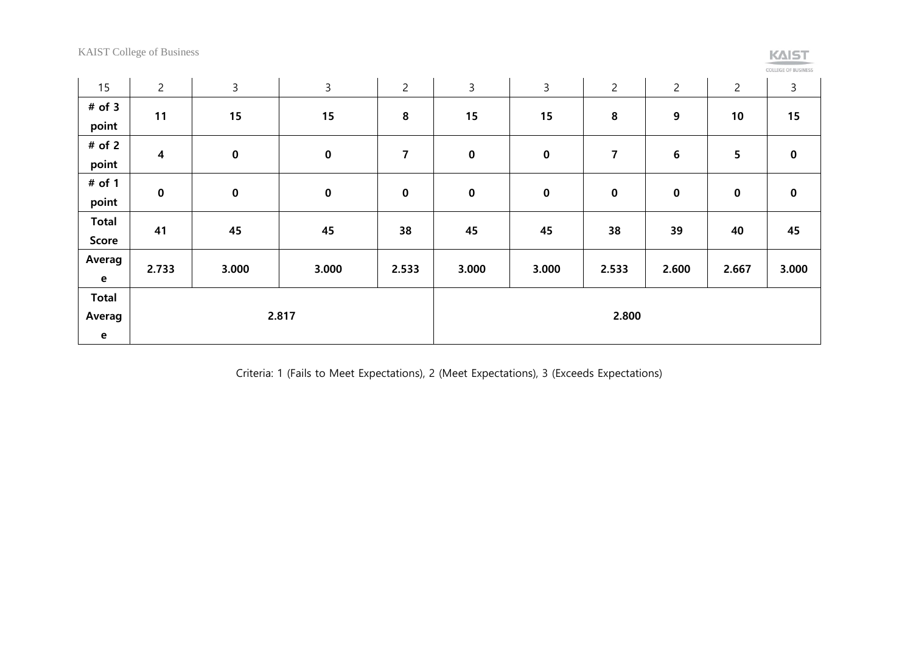KAIST College of Business

# $K\Delta IST$

| <b>OLLEGE OF BUSINESS</b> |  |  |  |  |
|---------------------------|--|--|--|--|
|                           |  |  |  |  |
|                           |  |  |  |  |
|                           |  |  |  |  |

| 15                                    | $\overline{c}$          | $\mathsf{3}$ | $\mathbf{3}$ | $\overline{c}$ | 3           | 3           | $\overline{c}$ | $\overline{c}$ | $\overline{c}$  | $\mathsf{3}$ |
|---------------------------------------|-------------------------|--------------|--------------|----------------|-------------|-------------|----------------|----------------|-----------------|--------------|
| $#$ of 3<br>point                     | 11                      | 15           | 15           | 8              | 15          | 15          | 8              | 9              | 10              | 15           |
| # of 2<br>point                       | $\overline{\mathbf{4}}$ | $\mathbf 0$  | $\pmb{0}$    | 7              | $\mathbf 0$ | $\pmb{0}$   | 7              | 6              | $5\phantom{.0}$ | $\mathbf 0$  |
| $#$ of 1<br>point                     | $\bf{0}$                | $\mathbf 0$  | $\mathbf 0$  | $\bf{0}$       | $\pmb{0}$   | $\mathbf 0$ | $\pmb{0}$      | $\pmb{0}$      | $\mathbf 0$     | $\mathbf 0$  |
| <b>Total</b><br>Score                 | 41                      | 45           | 45           | 38             | 45          | 45          | 38             | 39             | 40              | 45           |
| Averag<br>$\mathbf{e}$                | 2.733                   | 3.000        | 3.000        | 2.533          | 3.000       | 3.000       | 2.533          | 2.600          | 2.667           | 3.000        |
| <b>Total</b><br>Averag<br>$\mathbf e$ | 2.817                   |              |              |                |             |             | 2.800          |                |                 |              |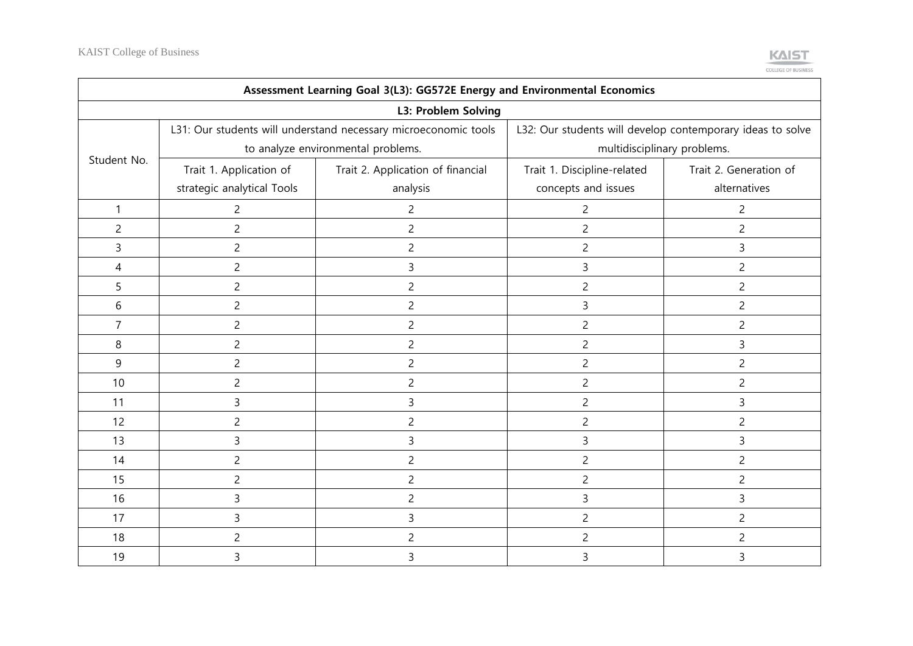

| Assessment Learning Goal 3(L3): GG572E Energy and Environmental Economics |                            |                                                                 |                                                            |                        |  |  |  |  |  |  |
|---------------------------------------------------------------------------|----------------------------|-----------------------------------------------------------------|------------------------------------------------------------|------------------------|--|--|--|--|--|--|
| L3: Problem Solving                                                       |                            |                                                                 |                                                            |                        |  |  |  |  |  |  |
|                                                                           |                            | L31: Our students will understand necessary microeconomic tools | L32: Our students will develop contemporary ideas to solve |                        |  |  |  |  |  |  |
| Student No.                                                               |                            | to analyze environmental problems.                              | multidisciplinary problems.                                |                        |  |  |  |  |  |  |
|                                                                           | Trait 1. Application of    | Trait 2. Application of financial                               | Trait 1. Discipline-related                                | Trait 2. Generation of |  |  |  |  |  |  |
|                                                                           | strategic analytical Tools | analysis                                                        | concepts and issues                                        | alternatives           |  |  |  |  |  |  |
| 1                                                                         | $\overline{c}$             | $\overline{c}$                                                  | $\overline{c}$                                             | $\overline{c}$         |  |  |  |  |  |  |
| $\overline{c}$                                                            | $\overline{2}$             | $\overline{2}$                                                  | $\overline{2}$                                             | $\overline{2}$         |  |  |  |  |  |  |
| 3                                                                         | $\overline{2}$             | $\overline{2}$                                                  | $\overline{2}$                                             | 3                      |  |  |  |  |  |  |
| $\overline{4}$                                                            | $\overline{2}$             | $\overline{3}$                                                  | 3                                                          | $\overline{2}$         |  |  |  |  |  |  |
| 5                                                                         | $\overline{c}$             | $\overline{c}$                                                  | $\overline{c}$                                             | $\overline{2}$         |  |  |  |  |  |  |
| 6                                                                         | $\overline{c}$             | $\overline{c}$                                                  | 3                                                          | $\overline{c}$         |  |  |  |  |  |  |
| $\overline{7}$                                                            | $\overline{c}$             | $\overline{c}$                                                  | $\overline{c}$                                             | $\overline{c}$         |  |  |  |  |  |  |
| 8                                                                         | $\overline{c}$             | $\overline{c}$                                                  | $\overline{c}$                                             | 3                      |  |  |  |  |  |  |
| 9                                                                         | $\overline{c}$             | $\overline{c}$                                                  | $\overline{c}$                                             | $\overline{2}$         |  |  |  |  |  |  |
| 10                                                                        | $\overline{c}$             | 2                                                               | 2                                                          | 2                      |  |  |  |  |  |  |
| 11                                                                        | 3                          | 3                                                               | 2                                                          | 3                      |  |  |  |  |  |  |
| 12                                                                        | $\overline{c}$             | 2                                                               | $\overline{c}$                                             | $\overline{c}$         |  |  |  |  |  |  |
| 13                                                                        | 3                          | 3                                                               | 3                                                          | 3                      |  |  |  |  |  |  |
| 14                                                                        | $\overline{2}$             | $\overline{2}$                                                  | $\overline{c}$                                             | $\overline{2}$         |  |  |  |  |  |  |
| 15                                                                        | $\overline{c}$             | $\overline{2}$                                                  | $\overline{c}$                                             | $\overline{c}$         |  |  |  |  |  |  |
| 16                                                                        | 3                          | $\overline{2}$                                                  | 3                                                          | 3                      |  |  |  |  |  |  |
| 17                                                                        | 3                          | 3                                                               | $\overline{c}$                                             | $\overline{c}$         |  |  |  |  |  |  |
| 18                                                                        | $\overline{2}$             | $\overline{c}$                                                  | $\overline{c}$                                             | $\overline{2}$         |  |  |  |  |  |  |
| 19                                                                        | 3                          | 3                                                               | 3                                                          | 3                      |  |  |  |  |  |  |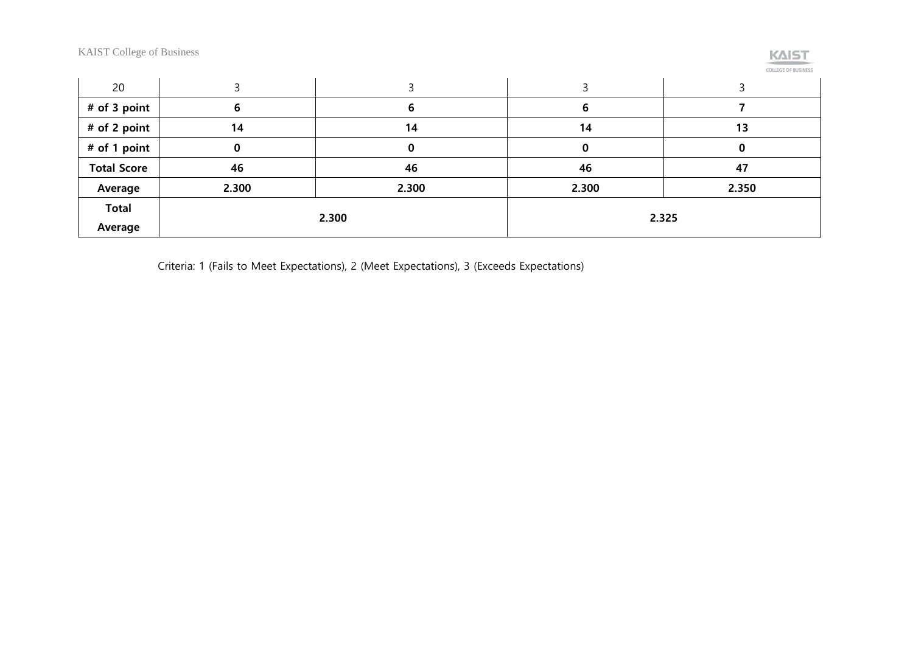KAIST College of Business



|  |  |  | COLLEGE OF BUSINESS |  |
|--|--|--|---------------------|--|
|  |  |  |                     |  |
|  |  |  |                     |  |

| 20                 |       |       |       |       |  |
|--------------------|-------|-------|-------|-------|--|
| # of 3 point       |       |       |       |       |  |
| # of 2 point       | 14    | 14    | 14    | 13    |  |
| # of 1 point       | υ     |       |       |       |  |
| <b>Total Score</b> | 46    | 46    |       | 47    |  |
| Average            | 2.300 | 2.300 | 2.300 | 2.350 |  |
| <b>Total</b>       |       |       | 2.325 |       |  |
| Average            |       | 2.300 |       |       |  |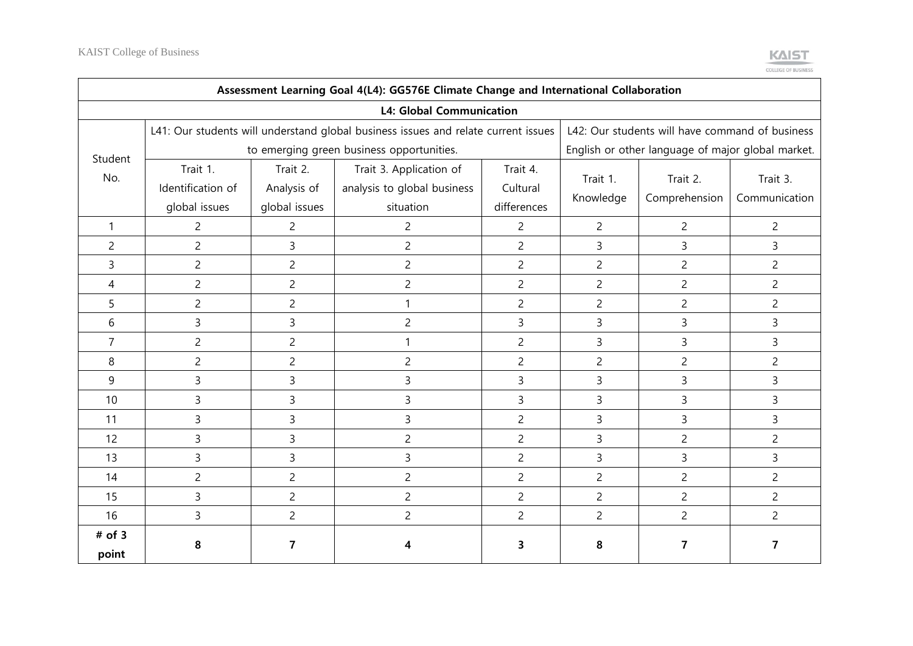

| Assessment Learning Goal 4(L4): GG576E Climate Change and International Collaboration |                                                |                                           |                                                                                    |                                     |                                                   |                                                 |                           |  |  |  |  |
|---------------------------------------------------------------------------------------|------------------------------------------------|-------------------------------------------|------------------------------------------------------------------------------------|-------------------------------------|---------------------------------------------------|-------------------------------------------------|---------------------------|--|--|--|--|
|                                                                                       |                                                |                                           | <b>L4: Global Communication</b>                                                    |                                     |                                                   |                                                 |                           |  |  |  |  |
|                                                                                       |                                                |                                           | L41: Our students will understand global business issues and relate current issues |                                     |                                                   | L42: Our students will have command of business |                           |  |  |  |  |
| Student                                                                               |                                                | to emerging green business opportunities. |                                                                                    |                                     | English or other language of major global market. |                                                 |                           |  |  |  |  |
| No.                                                                                   | Trait 1.<br>Identification of<br>global issues | Trait 2.<br>Analysis of<br>global issues  | Trait 3. Application of<br>analysis to global business<br>situation                | Trait 4.<br>Cultural<br>differences | Trait 1.<br>Knowledge                             | Trait 2.<br>Comprehension                       | Trait 3.<br>Communication |  |  |  |  |
| $\mathbf{1}$                                                                          | $\overline{c}$                                 | 2                                         | $\overline{c}$                                                                     | $\overline{2}$                      | $\overline{2}$                                    | $\overline{c}$                                  | $\overline{2}$            |  |  |  |  |
| $\overline{c}$                                                                        | $\overline{c}$                                 | 3                                         | $\overline{c}$                                                                     | $\overline{c}$                      | 3                                                 | 3                                               | 3                         |  |  |  |  |
| 3                                                                                     | $\overline{c}$                                 | $\overline{c}$                            | $\overline{c}$                                                                     | $\overline{c}$                      | $\overline{c}$                                    | $\overline{c}$                                  | $\overline{c}$            |  |  |  |  |
| 4                                                                                     | $\overline{c}$                                 | $\overline{c}$                            | $\overline{c}$                                                                     | $\overline{c}$                      | 2                                                 | $\overline{c}$                                  | $\overline{c}$            |  |  |  |  |
| 5                                                                                     | $\overline{c}$                                 | $\overline{c}$                            |                                                                                    | $\overline{c}$                      | $\overline{c}$                                    | $\overline{c}$                                  | $\overline{c}$            |  |  |  |  |
| 6                                                                                     | 3                                              | 3                                         | $\overline{c}$                                                                     | 3                                   | 3                                                 | 3                                               | 3                         |  |  |  |  |
| 7                                                                                     | $\overline{c}$                                 | $\overline{c}$                            |                                                                                    | $\overline{c}$                      | 3                                                 | 3                                               | 3                         |  |  |  |  |
| 8                                                                                     | $\overline{2}$                                 | $\overline{c}$                            | $\overline{c}$                                                                     | $\overline{c}$                      | $\overline{c}$                                    | $\overline{c}$                                  | $\overline{c}$            |  |  |  |  |
| 9                                                                                     | 3                                              | 3                                         | 3                                                                                  | 3                                   | 3                                                 | 3                                               | 3                         |  |  |  |  |
| 10                                                                                    | 3                                              | 3                                         | 3                                                                                  | 3                                   | 3                                                 | 3                                               | 3                         |  |  |  |  |
| 11                                                                                    | 3                                              | 3                                         | 3                                                                                  | $\overline{c}$                      | 3                                                 | 3                                               | 3                         |  |  |  |  |
| 12                                                                                    | 3                                              | 3                                         | $\overline{c}$                                                                     | $\overline{c}$                      | 3                                                 | $\overline{c}$                                  | $\overline{c}$            |  |  |  |  |
| 13                                                                                    | 3                                              | 3                                         | 3                                                                                  | $\overline{c}$                      | 3                                                 | 3                                               | 3                         |  |  |  |  |
| 14                                                                                    | $\overline{2}$                                 | $\overline{c}$                            | $\overline{c}$                                                                     | $\overline{c}$                      | $\overline{2}$                                    | $\overline{c}$                                  | $\overline{c}$            |  |  |  |  |
| 15                                                                                    | 3                                              | $\overline{c}$                            | $\overline{c}$                                                                     | $\overline{c}$                      | $\overline{c}$                                    | $\overline{c}$                                  | $\overline{c}$            |  |  |  |  |
| 16                                                                                    | 3                                              | $\overline{c}$                            | $\overline{c}$                                                                     | $\overline{c}$                      | $\overline{c}$                                    | $\overline{c}$                                  | $\overline{2}$            |  |  |  |  |
| $#$ of 3                                                                              | 8                                              | 7                                         | 4                                                                                  | 3                                   | 8                                                 | 7                                               | 7                         |  |  |  |  |
| point                                                                                 |                                                |                                           |                                                                                    |                                     |                                                   |                                                 |                           |  |  |  |  |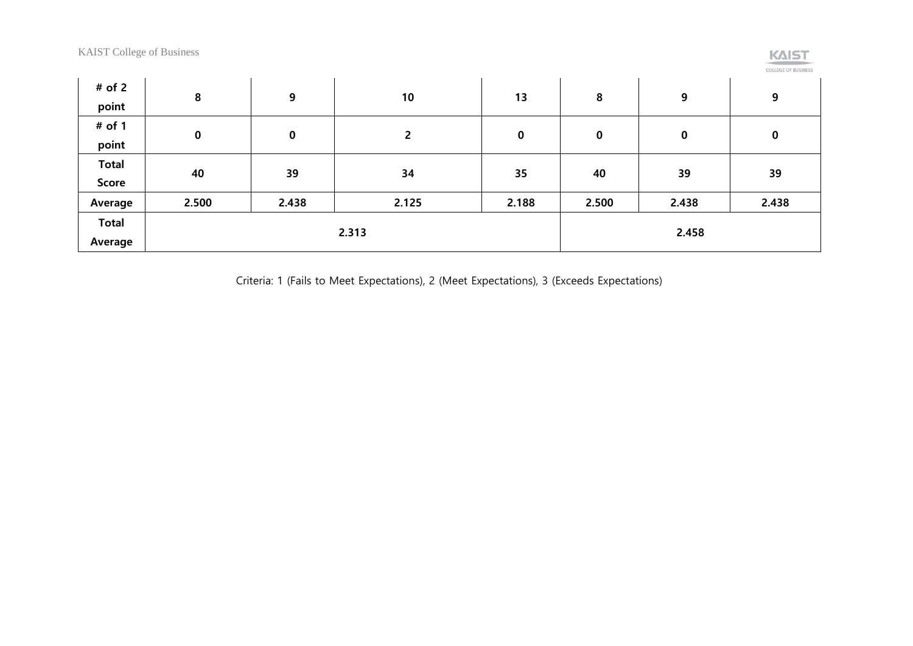|  |  | _______ |  |
|--|--|---------|--|

COLLEGE OF BUSINESS

| # of 2       | 8     | 9           | 10             | 13    | 8           | 9     | 9     |  |
|--------------|-------|-------------|----------------|-------|-------------|-------|-------|--|
| point        |       |             |                |       |             |       |       |  |
| # of 1       | 0     | $\mathbf 0$ | $\overline{2}$ | 0     | $\mathbf 0$ | 0     |       |  |
| point        |       |             |                |       |             |       | 0     |  |
| <b>Total</b> |       |             |                |       | 40          |       |       |  |
| Score        | 40    | 39          | 34             | 35    |             | 39    | 39    |  |
| Average      | 2.500 | 2.438       | 2.125          | 2.188 | 2.500       | 2.438 | 2.438 |  |
| <b>Total</b> |       |             |                |       |             |       |       |  |
| Average      |       |             | 2.313          |       | 2.458       |       |       |  |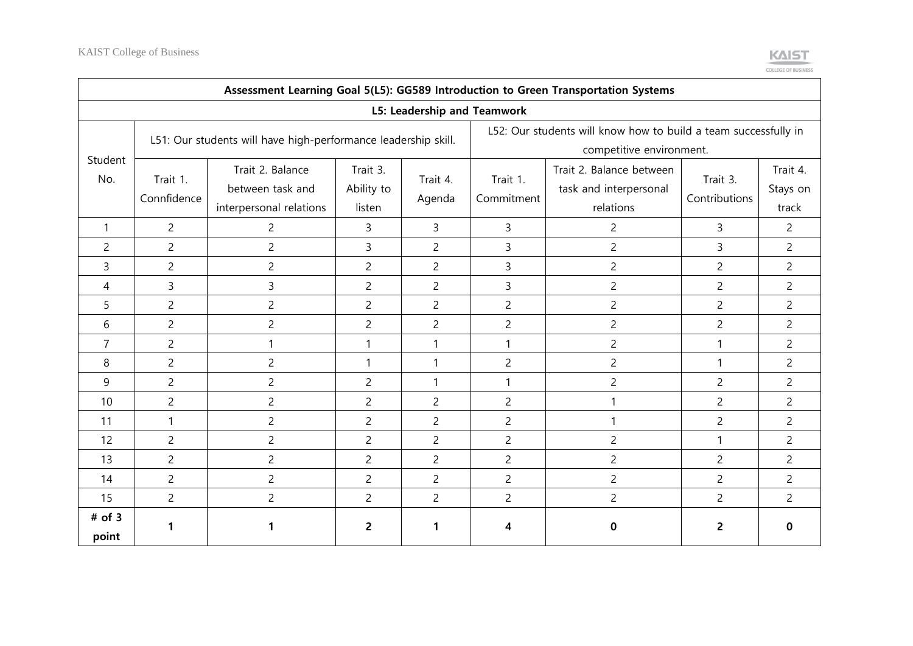

|                   | Assessment Learning Goal 5(L5): GG589 Introduction to Green Transportation Systems |                                                                 |                                  |                    |                                                                                             |                                                                 |                           |                               |  |  |  |  |  |
|-------------------|------------------------------------------------------------------------------------|-----------------------------------------------------------------|----------------------------------|--------------------|---------------------------------------------------------------------------------------------|-----------------------------------------------------------------|---------------------------|-------------------------------|--|--|--|--|--|
|                   | L5: Leadership and Teamwork                                                        |                                                                 |                                  |                    |                                                                                             |                                                                 |                           |                               |  |  |  |  |  |
|                   |                                                                                    | L51: Our students will have high-performance leadership skill.  |                                  |                    | L52: Our students will know how to build a team successfully in<br>competitive environment. |                                                                 |                           |                               |  |  |  |  |  |
| Student<br>No.    | Trait 1.<br>Connfidence                                                            | Trait 2. Balance<br>between task and<br>interpersonal relations | Trait 3.<br>Ability to<br>listen | Trait 4.<br>Agenda | Trait 1.<br>Commitment                                                                      | Trait 2. Balance between<br>task and interpersonal<br>relations | Trait 3.<br>Contributions | Trait 4.<br>Stays on<br>track |  |  |  |  |  |
| 1                 | $\overline{2}$                                                                     | $\overline{2}$                                                  | 3                                | 3                  | 3                                                                                           | $\overline{2}$                                                  | 3                         | $\overline{2}$                |  |  |  |  |  |
| $\overline{c}$    | $\overline{c}$                                                                     | $\overline{c}$                                                  | 3                                | $\overline{2}$     | 3                                                                                           | $\overline{2}$                                                  | 3                         | $\overline{2}$                |  |  |  |  |  |
| 3                 | $\overline{2}$                                                                     | $\overline{c}$                                                  | $\overline{c}$                   | $\overline{2}$     | 3                                                                                           | $\overline{2}$                                                  | $\overline{c}$            | $\overline{2}$                |  |  |  |  |  |
| 4                 | 3                                                                                  | 3                                                               | $\overline{c}$                   | $\overline{2}$     | 3                                                                                           | $\overline{2}$                                                  | $\overline{c}$            | $\overline{2}$                |  |  |  |  |  |
| 5                 | $\overline{2}$                                                                     | $\overline{c}$                                                  | $\overline{2}$                   | $\overline{2}$     | $\overline{c}$                                                                              | $\overline{c}$                                                  | $\overline{2}$            | $\overline{2}$                |  |  |  |  |  |
| 6                 | $\overline{c}$                                                                     | $\overline{c}$                                                  | $\overline{c}$                   | $\overline{2}$     | $\overline{c}$                                                                              | $\overline{2}$                                                  | $\overline{2}$            | $\overline{2}$                |  |  |  |  |  |
| $\overline{7}$    | $\overline{c}$                                                                     |                                                                 | 1                                | 1                  | 1                                                                                           | $\overline{c}$                                                  | 1                         | $\overline{c}$                |  |  |  |  |  |
| 8                 | $\overline{2}$                                                                     | $\overline{c}$                                                  | 1                                | 1                  | $\overline{c}$                                                                              | $\overline{c}$                                                  | 1                         | $\overline{2}$                |  |  |  |  |  |
| 9                 | $\overline{c}$                                                                     | $\overline{c}$                                                  | $\overline{c}$                   | 1                  | 1                                                                                           | $\overline{c}$                                                  | $\overline{c}$            | $\overline{2}$                |  |  |  |  |  |
| 10                | $\overline{2}$                                                                     | $\overline{c}$                                                  | $\overline{c}$                   | $\overline{2}$     | $\overline{c}$                                                                              | $\mathbf{1}$                                                    | $\overline{c}$            | $\overline{2}$                |  |  |  |  |  |
| 11                | 1                                                                                  | $\overline{c}$                                                  | $\overline{2}$                   | $\overline{2}$     | $\overline{c}$                                                                              | 1                                                               | $\overline{c}$            | $\overline{2}$                |  |  |  |  |  |
| 12                | $\overline{2}$                                                                     | $\overline{c}$                                                  | $\overline{2}$                   | $\overline{2}$     | $\overline{c}$                                                                              | $\overline{c}$                                                  | 1                         | $\overline{2}$                |  |  |  |  |  |
| 13                | $\overline{c}$                                                                     | $\overline{c}$                                                  | $\overline{c}$                   | $\overline{c}$     | $\overline{c}$                                                                              | $\overline{c}$                                                  | $\overline{c}$            | $\overline{c}$                |  |  |  |  |  |
| 14                | $\overline{2}$                                                                     | $\overline{c}$                                                  | $\overline{2}$                   | $\overline{2}$     | $\overline{c}$                                                                              | $\overline{2}$                                                  | $\overline{c}$            | $\overline{2}$                |  |  |  |  |  |
| 15                | $\overline{2}$                                                                     | $\overline{c}$                                                  | $\overline{2}$                   | $\overline{2}$     | $\overline{c}$                                                                              | $\overline{c}$                                                  | $\overline{2}$            | $\overline{2}$                |  |  |  |  |  |
| $#$ of 3<br>point | 1                                                                                  | 1                                                               | $\overline{2}$                   | 1                  | 4                                                                                           | 0                                                               | $\overline{2}$            | 0                             |  |  |  |  |  |